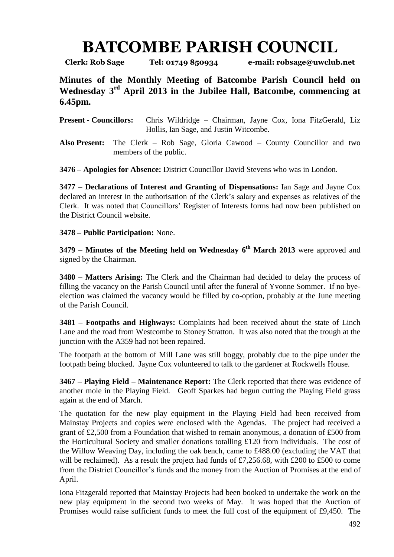## **BATCOMBE PARISH COUNCIL**

**Clerk: Rob Sage Tel: 01749 850934 e-mail: robsage@uwclub.net**

**Minutes of the Monthly Meeting of Batcombe Parish Council held on Wednesday 3 rd April 2013 in the Jubilee Hall, Batcombe, commencing at 6.45pm.**

**Present - Councillors:** Chris Wildridge – Chairman, Jayne Cox, Iona FitzGerald, Liz Hollis, Ian Sage, and Justin Witcombe.

**Also Present:** The Clerk – Rob Sage, Gloria Cawood – County Councillor and two members of the public.

**3476 – Apologies for Absence:** District Councillor David Stevens who was in London.

**3477 – Declarations of Interest and Granting of Dispensations:** Ian Sage and Jayne Cox declared an interest in the authorisation of the Clerk's salary and expenses as relatives of the Clerk. It was noted that Councillors' Register of Interests forms had now been published on the District Council website.

## **3478 – Public Participation:** None.

**3479 – Minutes of the Meeting held on Wednesday 6 th March 2013** were approved and signed by the Chairman.

**3480 – Matters Arising:** The Clerk and the Chairman had decided to delay the process of filling the vacancy on the Parish Council until after the funeral of Yvonne Sommer. If no byeelection was claimed the vacancy would be filled by co-option, probably at the June meeting of the Parish Council.

**3481 – Footpaths and Highways:** Complaints had been received about the state of Linch Lane and the road from Westcombe to Stoney Stratton. It was also noted that the trough at the junction with the A359 had not been repaired.

The footpath at the bottom of Mill Lane was still boggy, probably due to the pipe under the footpath being blocked. Jayne Cox volunteered to talk to the gardener at Rockwells House.

**3467 – Playing Field – Maintenance Report:** The Clerk reported that there was evidence of another mole in the Playing Field. Geoff Sparkes had begun cutting the Playing Field grass again at the end of March.

The quotation for the new play equipment in the Playing Field had been received from Mainstay Projects and copies were enclosed with the Agendas. The project had received a grant of £2,500 from a Foundation that wished to remain anonymous, a donation of £500 from the Horticultural Society and smaller donations totalling £120 from individuals. The cost of the Willow Weaving Day, including the oak bench, came to £488.00 (excluding the VAT that will be reclaimed). As a result the project had funds of £7,256.68, with £200 to £500 to come from the District Councillor's funds and the money from the Auction of Promises at the end of April.

Iona Fitzgerald reported that Mainstay Projects had been booked to undertake the work on the new play equipment in the second two weeks of May. It was hoped that the Auction of Promises would raise sufficient funds to meet the full cost of the equipment of £9,450. The